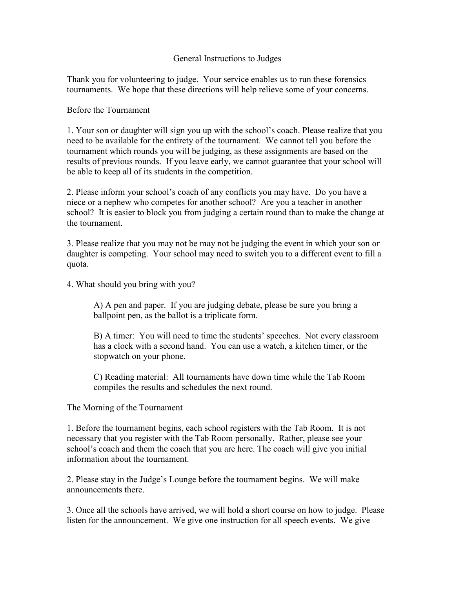## General Instructions to Judges

Thank you for volunteering to judge. Your service enables us to run these forensics tournaments. We hope that these directions will help relieve some of your concerns.

## Before the Tournament

1. Your son or daughter will sign you up with the school's coach. Please realize that you need to be available for the entirety of the tournament. We cannot tell you before the tournament which rounds you will be judging, as these assignments are based on the results of previous rounds. If you leave early, we cannot guarantee that your school will be able to keep all of its students in the competition.

2. Please inform your school's coach of any conflicts you may have. Do you have a niece or a nephew who competes for another school? Are you a teacher in another school? It is easier to block you from judging a certain round than to make the change at the tournament.

3. Please realize that you may not be may not be judging the event in which your son or daughter is competing. Your school may need to switch you to a different event to fill a quota.

4. What should you bring with you?

 A) A pen and paper. If you are judging debate, please be sure you bring a ballpoint pen, as the ballot is a triplicate form.

 B) A timer: You will need to time the students' speeches. Not every classroom has a clock with a second hand. You can use a watch, a kitchen timer, or the stopwatch on your phone.

 C) Reading material: All tournaments have down time while the Tab Room compiles the results and schedules the next round.

The Morning of the Tournament

1. Before the tournament begins, each school registers with the Tab Room. It is not necessary that you register with the Tab Room personally. Rather, please see your school's coach and them the coach that you are here. The coach will give you initial information about the tournament.

2. Please stay in the Judge's Lounge before the tournament begins. We will make announcements there.

3. Once all the schools have arrived, we will hold a short course on how to judge. Please listen for the announcement. We give one instruction for all speech events. We give